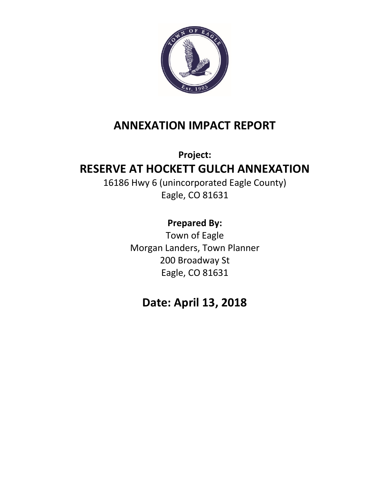

# **ANNEXATION IMPACT REPORT**

# **Project: RESERVE AT HOCKETT GULCH ANNEXATION**

16186 Hwy 6 (unincorporated Eagle County) Eagle, CO 81631

# **Prepared By:**

Town of Eagle Morgan Landers, Town Planner 200 Broadway St Eagle, CO 81631

# **Date: April 13, 2018**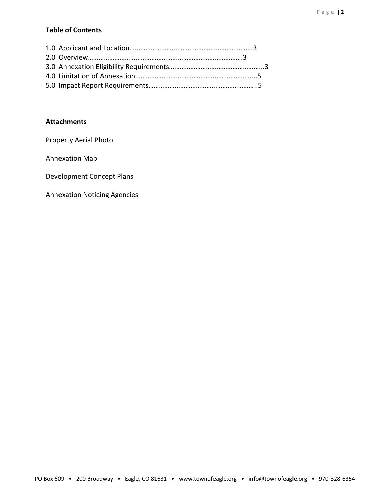## **Table of Contents**

### **Attachments**

Property Aerial Photo

Annexation Map

Development Concept Plans

Annexation Noticing Agencies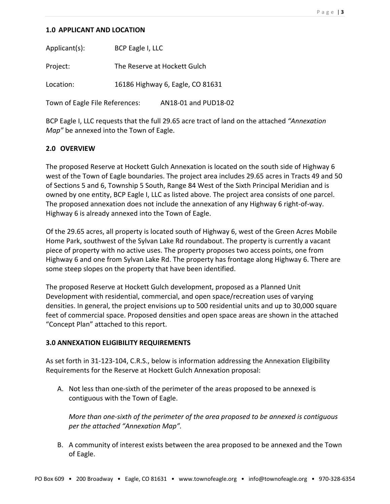#### **1.0 APPLICANT AND LOCATION**

Applicant(s): BCP Eagle I, LLC Project: The Reserve at Hockett Gulch Location: 16186 Highway 6, Eagle, CO 81631 Town of Eagle File References: AN18-01 and PUD18-02

BCP Eagle I, LLC requests that the full 29.65 acre tract of land on the attached *"Annexation Map"* be annexed into the Town of Eagle.

### **2.0 OVERVIEW**

The proposed Reserve at Hockett Gulch Annexation is located on the south side of Highway 6 west of the Town of Eagle boundaries. The project area includes 29.65 acres in Tracts 49 and 50 of Sections 5 and 6, Township 5 South, Range 84 West of the Sixth Principal Meridian and is owned by one entity, BCP Eagle I, LLC as listed above. The project area consists of one parcel. The proposed annexation does not include the annexation of any Highway 6 right-of-way. Highway 6 is already annexed into the Town of Eagle.

Of the 29.65 acres, all property is located south of Highway 6, west of the Green Acres Mobile Home Park, southwest of the Sylvan Lake Rd roundabout. The property is currently a vacant piece of property with no active uses. The property proposes two access points, one from Highway 6 and one from Sylvan Lake Rd. The property has frontage along Highway 6. There are some steep slopes on the property that have been identified.

The proposed Reserve at Hockett Gulch development, proposed as a Planned Unit Development with residential, commercial, and open space/recreation uses of varying densities. In general, the project envisions up to 500 residential units and up to 30,000 square feet of commercial space. Proposed densities and open space areas are shown in the attached "Concept Plan" attached to this report.

### **3.0 ANNEXATION ELIGIBILITY REQUIREMENTS**

As set forth in 31-123-104, C.R.S., below is information addressing the Annexation Eligibility Requirements for the Reserve at Hockett Gulch Annexation proposal:

A. Not less than one-sixth of the perimeter of the areas proposed to be annexed is contiguous with the Town of Eagle.

*More than one-sixth of the perimeter of the area proposed to be annexed is contiguous per the attached "Annexation Map".*

B. A community of interest exists between the area proposed to be annexed and the Town of Eagle.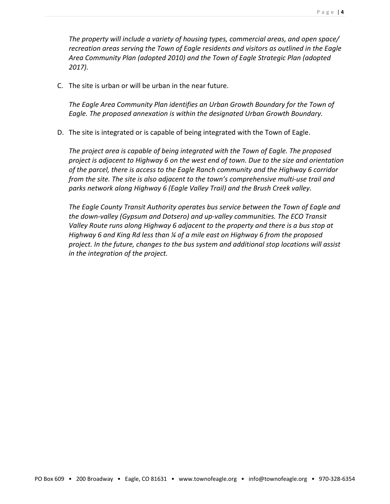*The property will include a variety of housing types, commercial areas, and open space/ recreation areas serving the Town of Eagle residents and visitors as outlined in the Eagle Area Community Plan (adopted 2010) and the Town of Eagle Strategic Plan (adopted 2017).* 

C. The site is urban or will be urban in the near future.

*The Eagle Area Community Plan identifies an Urban Growth Boundary for the Town of Eagle. The proposed annexation is within the designated Urban Growth Boundary.* 

D. The site is integrated or is capable of being integrated with the Town of Eagle.

*The project area is capable of being integrated with the Town of Eagle. The proposed project is adjacent to Highway 6 on the west end of town. Due to the size and orientation of the parcel, there is access to the Eagle Ranch community and the Highway 6 corridor from the site. The site is also adjacent to the town's comprehensive multi-use trail and parks network along Highway 6 (Eagle Valley Trail) and the Brush Creek valley.*

*The Eagle County Transit Authority operates bus service between the Town of Eagle and the down-valley (Gypsum and Dotsero) and up-valley communities. The ECO Transit Valley Route runs along Highway 6 adjacent to the property and there is a bus stop at Highway 6 and King Rd less than ¼ of a mile east on Highway 6 from the proposed project. In the future, changes to the bus system and additional stop locations will assist in the integration of the project.*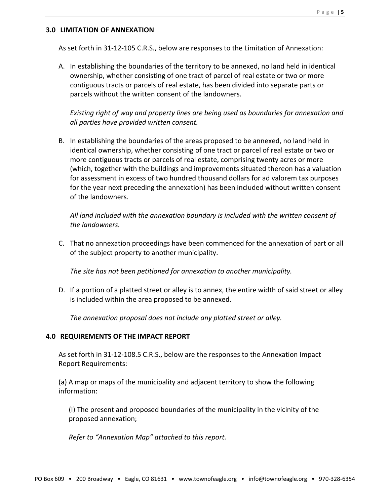#### **3.0 LIMITATION OF ANNEXATION**

As set forth in 31-12-105 C.R.S., below are responses to the Limitation of Annexation:

A. In establishing the boundaries of the territory to be annexed, no land held in identical ownership, whether consisting of one tract of parcel of real estate or two or more contiguous tracts or parcels of real estate, has been divided into separate parts or parcels without the written consent of the landowners.

*Existing right of way and property lines are being used as boundaries for annexation and all parties have provided written consent.*

B. In establishing the boundaries of the areas proposed to be annexed, no land held in identical ownership, whether consisting of one tract or parcel of real estate or two or more contiguous tracts or parcels of real estate, comprising twenty acres or more (which, together with the buildings and improvements situated thereon has a valuation for assessment in excess of two hundred thousand dollars for ad valorem tax purposes for the year next preceding the annexation) has been included without written consent of the landowners.

*All land included with the annexation boundary is included with the written consent of the landowners.*

C. That no annexation proceedings have been commenced for the annexation of part or all of the subject property to another municipality.

*The site has not been petitioned for annexation to another municipality.*

D. If a portion of a platted street or alley is to annex, the entire width of said street or alley is included within the area proposed to be annexed.

*The annexation proposal does not include any platted street or alley.*

#### **4.0 REQUIREMENTS OF THE IMPACT REPORT**

As set forth in 31-12-108.5 C.R.S., below are the responses to the Annexation Impact Report Requirements:

(a) A map or maps of the municipality and adjacent territory to show the following information:

(I) The present and proposed boundaries of the municipality in the vicinity of the proposed annexation;

*Refer to "Annexation Map" attached to this report.*